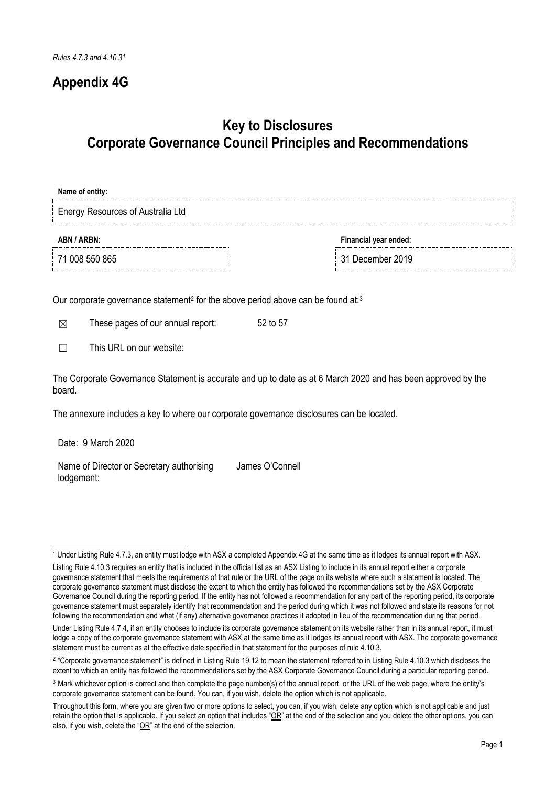## **Appendix 4G**

## **Key to Disclosures Corporate Governance Council Principles and Recommendations**

## **Name of entity:** Energy Resources of Australia Ltd **ABN / ARBN: Financial year ended:** 71 008 550 865 31 December 2019

Our corporate governance statement<sup>[2](#page-0-1)</sup> for the above period above can be found at:<sup>[3](#page-0-2)</sup>

 $\boxtimes$  These pages of our annual report:  $52$  to 57

 $\Box$  This URL on our website:

The Corporate Governance Statement is accurate and up to date as at 6 March 2020 and has been approved by the board.

The annexure includes a key to where our corporate governance disclosures can be located.

Date: 9 March 2020

Name of Director or Secretary authorising lodgement: James O'Connell

<sup>1</sup> <sup>1</sup> Under Listing Rule 4.7.3, an entity must lodge with ASX a completed Appendix 4G at the same time as it lodges its annual report with ASX.

<span id="page-0-0"></span>Listing Rule 4.10.3 requires an entity that is included in the official list as an ASX Listing to include in its annual report either a corporate governance statement that meets the requirements of that rule or the URL of the page on its website where such a statement is located. The corporate governance statement must disclose the extent to which the entity has followed the recommendations set by the ASX Corporate Governance Council during the reporting period. If the entity has not followed a recommendation for any part of the reporting period, its corporate governance statement must separately identify that recommendation and the period during which it was not followed and state its reasons for not following the recommendation and what (if any) alternative governance practices it adopted in lieu of the recommendation during that period.

Under Listing Rule 4.7.4, if an entity chooses to include its corporate governance statement on its website rather than in its annual report, it must lodge a copy of the corporate governance statement with ASX at the same time as it lodges its annual report with ASX. The corporate governance statement must be current as at the effective date specified in that statement for the purposes of rule 4.10.3.

<span id="page-0-1"></span><sup>&</sup>lt;sup>2</sup> "Corporate governance statement" is defined in Listing Rule 19.12 to mean the statement referred to in Listing Rule 4.10.3 which discloses the extent to which an entity has followed the recommendations set by the ASX Corporate Governance Council during a particular reporting period.

<span id="page-0-2"></span><sup>3</sup> Mark whichever option is correct and then complete the page number(s) of the annual report, or the URL of the web page, where the entity's corporate governance statement can be found. You can, if you wish, delete the option which is not applicable.

Throughout this form, where you are given two or more options to select, you can, if you wish, delete any option which is not applicable and just retain the option that is applicable. If you select an option that includes " $OR$ " at the end of the selection and you delete the other options, you can also, if you wish, delete the "OR" at the end of the selection.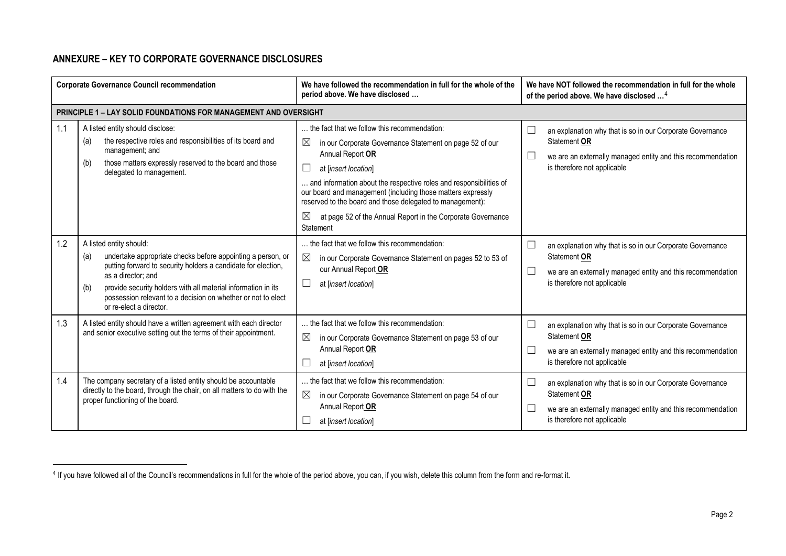## <span id="page-1-0"></span>**ANNEXURE – KEY TO CORPORATE GOVERNANCE DISCLOSURES**

-

| <b>Corporate Governance Council recommendation</b> |                                                                                                                                                                                                                                                                                                                                                         | We have followed the recommendation in full for the whole of the<br>period above. We have disclosed                                                                                                                                                                                                                                                                                                                                                 | We have NOT followed the recommendation in full for the whole<br>of the period above. We have disclosed <sup>4</sup>                                                                        |
|----------------------------------------------------|---------------------------------------------------------------------------------------------------------------------------------------------------------------------------------------------------------------------------------------------------------------------------------------------------------------------------------------------------------|-----------------------------------------------------------------------------------------------------------------------------------------------------------------------------------------------------------------------------------------------------------------------------------------------------------------------------------------------------------------------------------------------------------------------------------------------------|---------------------------------------------------------------------------------------------------------------------------------------------------------------------------------------------|
|                                                    | PRINCIPLE 1 - LAY SOLID FOUNDATIONS FOR MANAGEMENT AND OVERSIGHT                                                                                                                                                                                                                                                                                        |                                                                                                                                                                                                                                                                                                                                                                                                                                                     |                                                                                                                                                                                             |
| 1.1                                                | A listed entity should disclose:<br>the respective roles and responsibilities of its board and<br>(a)<br>management; and<br>those matters expressly reserved to the board and those<br>(b)<br>delegated to management.                                                                                                                                  | the fact that we follow this recommendation:<br>⊠<br>in our Corporate Governance Statement on page 52 of our<br>Annual Report OR<br>at [insert location]<br>and information about the respective roles and responsibilities of<br>our board and management (including those matters expressly<br>reserved to the board and those delegated to management):<br>$\bowtie$<br>at page 52 of the Annual Report in the Corporate Governance<br>Statement | an explanation why that is so in our Corporate Governance<br>Statement OR<br>we are an externally managed entity and this recommendation<br>$\Box$<br>is therefore not applicable           |
| 1.2                                                | A listed entity should:<br>undertake appropriate checks before appointing a person, or<br>(a)<br>putting forward to security holders a candidate for election,<br>as a director; and<br>provide security holders with all material information in its<br>(b)<br>possession relevant to a decision on whether or not to elect<br>or re-elect a director. | the fact that we follow this recommendation:<br>⊠<br>in our Corporate Governance Statement on pages 52 to 53 of<br>our Annual Report OR<br>L<br>at [insert location]                                                                                                                                                                                                                                                                                | an explanation why that is so in our Corporate Governance<br>$\Box$<br>Statement OR<br>we are an externally managed entity and this recommendation<br>$\Box$<br>is therefore not applicable |
| 1.3                                                | A listed entity should have a written agreement with each director<br>and senior executive setting out the terms of their appointment.                                                                                                                                                                                                                  | . the fact that we follow this recommendation:<br>$\boxtimes$<br>in our Corporate Governance Statement on page 53 of our<br>Annual Report OR<br>at [insert location]                                                                                                                                                                                                                                                                                | an explanation why that is so in our Corporate Governance<br>Statement OR<br>we are an externally managed entity and this recommendation<br>is therefore not applicable                     |
| 1.4                                                | The company secretary of a listed entity should be accountable<br>directly to the board, through the chair, on all matters to do with the<br>proper functioning of the board.                                                                                                                                                                           | the fact that we follow this recommendation:<br>$\boxtimes$<br>in our Corporate Governance Statement on page 54 of our<br>Annual Report OR<br>at [insert location]                                                                                                                                                                                                                                                                                  | an explanation why that is so in our Corporate Governance<br>$\Box$<br>Statement OR<br>we are an externally managed entity and this recommendation<br>$\Box$<br>is therefore not applicable |

<sup>&</sup>lt;sup>4</sup> If you have followed all of the Council's recommendations in full for the whole of the period above, you can, if you wish, delete this column from the form and re-format it.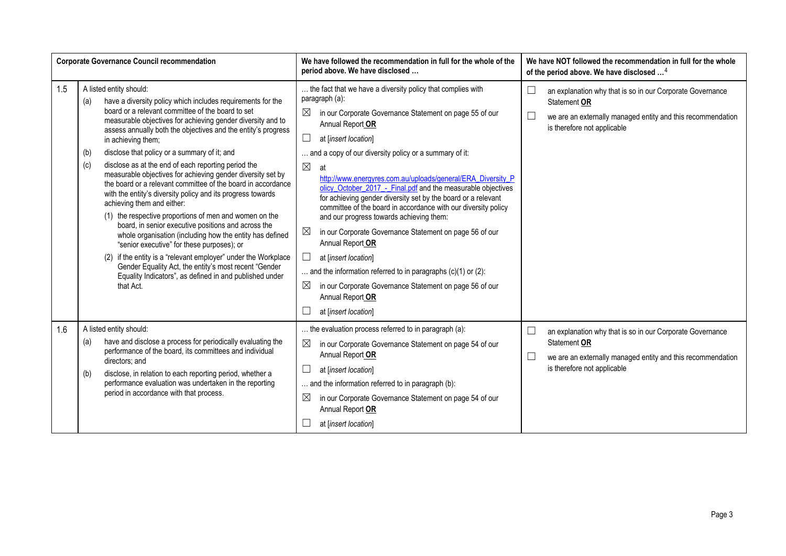| <b>Corporate Governance Council recommendation</b> |                                                         |                                                                                                                                                                                                                                                                                                                                                                                                                                                                                                                                                                                                                                                                                                                                                                                                                                                                                                                                                                                                                                         | We have followed the recommendation in full for the whole of the<br>period above. We have disclosed                                                                                                                                                                                                                                                                                                                                                                                                                                                                                                                                                                                                                                                                                                                                                                                                               |        | We have NOT followed the recommendation in full for the whole<br>of the period above. We have disclosed <sup>4</sup>                                                    |
|----------------------------------------------------|---------------------------------------------------------|-----------------------------------------------------------------------------------------------------------------------------------------------------------------------------------------------------------------------------------------------------------------------------------------------------------------------------------------------------------------------------------------------------------------------------------------------------------------------------------------------------------------------------------------------------------------------------------------------------------------------------------------------------------------------------------------------------------------------------------------------------------------------------------------------------------------------------------------------------------------------------------------------------------------------------------------------------------------------------------------------------------------------------------------|-------------------------------------------------------------------------------------------------------------------------------------------------------------------------------------------------------------------------------------------------------------------------------------------------------------------------------------------------------------------------------------------------------------------------------------------------------------------------------------------------------------------------------------------------------------------------------------------------------------------------------------------------------------------------------------------------------------------------------------------------------------------------------------------------------------------------------------------------------------------------------------------------------------------|--------|-------------------------------------------------------------------------------------------------------------------------------------------------------------------------|
| 1.5                                                | A listed entity should:<br>(a)<br>(b)<br>(c)            | have a diversity policy which includes requirements for the<br>board or a relevant committee of the board to set<br>measurable objectives for achieving gender diversity and to<br>assess annually both the objectives and the entity's progress<br>in achieving them;<br>disclose that policy or a summary of it; and<br>disclose as at the end of each reporting period the<br>measurable objectives for achieving gender diversity set by<br>the board or a relevant committee of the board in accordance<br>with the entity's diversity policy and its progress towards<br>achieving them and either:<br>(1) the respective proportions of men and women on the<br>board, in senior executive positions and across the<br>whole organisation (including how the entity has defined<br>"senior executive" for these purposes); or<br>(2) if the entity is a "relevant employer" under the Workplace<br>Gender Equality Act, the entity's most recent "Gender<br>Equality Indicators", as defined in and published under<br>that Act. | the fact that we have a diversity policy that complies with<br>paragraph (a):<br>⊠<br>in our Corporate Governance Statement on page 55 of our<br>Annual Report OR<br>at [insert location]<br>and a copy of our diversity policy or a summary of it:<br>$\boxtimes$<br>at<br>http://www.energyres.com.au/uploads/general/ERA Diversity P<br>olicy October 2017 - Final.pdf and the measurable objectives<br>for achieving gender diversity set by the board or a relevant<br>committee of the board in accordance with our diversity policy<br>and our progress towards achieving them:<br>$\boxtimes$<br>in our Corporate Governance Statement on page 56 of our<br>Annual Report OR<br>$\Box$<br>at [insert location]<br>and the information referred to in paragraphs $(c)(1)$ or $(2)$ :<br>$\boxtimes$<br>in our Corporate Governance Statement on page 56 of our<br>Annual Report OR<br>at [insert location] |        | an explanation why that is so in our Corporate Governance<br>Statement OR<br>we are an externally managed entity and this recommendation<br>is therefore not applicable |
| 1.6                                                | A listed entity should:<br>(a)<br>directors: and<br>(b) | have and disclose a process for periodically evaluating the<br>performance of the board, its committees and individual<br>disclose, in relation to each reporting period, whether a<br>performance evaluation was undertaken in the reporting<br>period in accordance with that process.                                                                                                                                                                                                                                                                                                                                                                                                                                                                                                                                                                                                                                                                                                                                                | the evaluation process referred to in paragraph (a):<br>$\boxtimes$<br>in our Corporate Governance Statement on page 54 of our<br>Annual Report OR<br>at [insert location]<br>and the information referred to in paragraph (b):<br>⊠<br>in our Corporate Governance Statement on page 54 of our<br>Annual Report OR<br>at [insert location]                                                                                                                                                                                                                                                                                                                                                                                                                                                                                                                                                                       | $\Box$ | an explanation why that is so in our Corporate Governance<br>Statement OR<br>we are an externally managed entity and this recommendation<br>is therefore not applicable |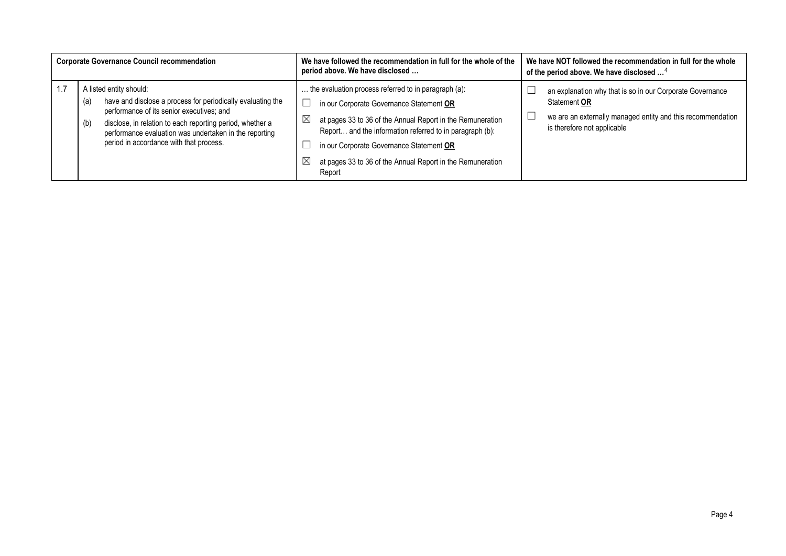| <b>Corporate Governance Council recommendation</b> |                                                                                                                                                                         |                                                                                                                                                                                                                                     | We have followed the recommendation in full for the whole of the<br>We have NOT followed the recommendation in full for the whole<br>period above. We have disclosed<br>of the period above. We have disclosed <sup>4</sup> |  |
|----------------------------------------------------|-------------------------------------------------------------------------------------------------------------------------------------------------------------------------|-------------------------------------------------------------------------------------------------------------------------------------------------------------------------------------------------------------------------------------|-----------------------------------------------------------------------------------------------------------------------------------------------------------------------------------------------------------------------------|--|
| 1.7                                                |                                                                                                                                                                         | A listed entity should:                                                                                                                                                                                                             | the evaluation process referred to in paragraph (a):<br>an explanation why that is so in our Corporate Governance                                                                                                           |  |
|                                                    | (a)                                                                                                                                                                     | have and disclose a process for periodically evaluating the                                                                                                                                                                         | Statement OR<br>in our Corporate Governance Statement OR                                                                                                                                                                    |  |
|                                                    | performance of its senior executives; and<br>disclose, in relation to each reporting period, whether a<br>(b)<br>performance evaluation was undertaken in the reporting | we are an externally managed entity and this recommendation<br>$\boxtimes$<br>at pages 33 to 36 of the Annual Report in the Remuneration<br>is therefore not applicable<br>Report and the information referred to in paragraph (b): |                                                                                                                                                                                                                             |  |
|                                                    |                                                                                                                                                                         | period in accordance with that process.                                                                                                                                                                                             | in our Corporate Governance Statement OR                                                                                                                                                                                    |  |
|                                                    |                                                                                                                                                                         |                                                                                                                                                                                                                                     | $\boxtimes$<br>at pages 33 to 36 of the Annual Report in the Remuneration<br>Report                                                                                                                                         |  |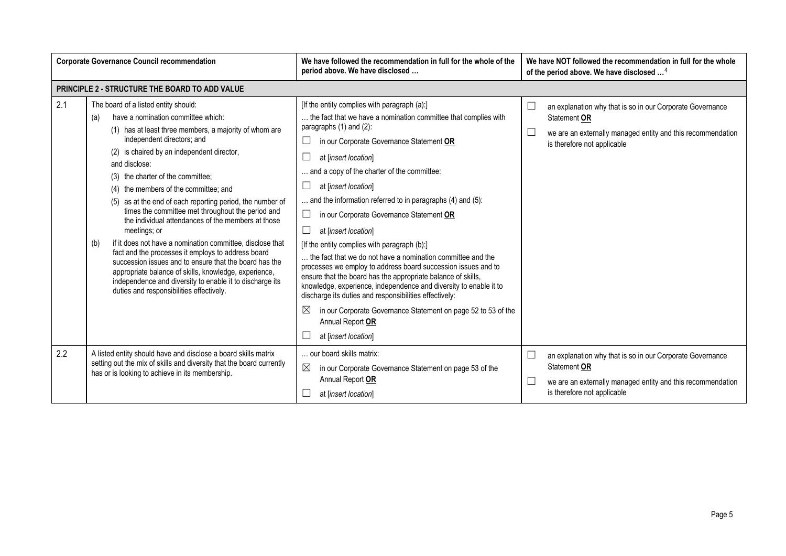| <b>Corporate Governance Council recommendation</b> |                                                                                                                                                                                                                                                                                                                                                                                                                                                                                                                                                                                                                                                                                                                                                                                                                                                                     | We have followed the recommendation in full for the whole of the<br>period above. We have disclosed                                                                                                                                                                                                                                                                                                                                                                                                                                                                                                                                                                                                                                                                                                                                                                                                                                                    | We have NOT followed the recommendation in full for the whole<br>of the period above. We have disclosed <sup>4</sup>                                                    |
|----------------------------------------------------|---------------------------------------------------------------------------------------------------------------------------------------------------------------------------------------------------------------------------------------------------------------------------------------------------------------------------------------------------------------------------------------------------------------------------------------------------------------------------------------------------------------------------------------------------------------------------------------------------------------------------------------------------------------------------------------------------------------------------------------------------------------------------------------------------------------------------------------------------------------------|--------------------------------------------------------------------------------------------------------------------------------------------------------------------------------------------------------------------------------------------------------------------------------------------------------------------------------------------------------------------------------------------------------------------------------------------------------------------------------------------------------------------------------------------------------------------------------------------------------------------------------------------------------------------------------------------------------------------------------------------------------------------------------------------------------------------------------------------------------------------------------------------------------------------------------------------------------|-------------------------------------------------------------------------------------------------------------------------------------------------------------------------|
|                                                    | PRINCIPLE 2 - STRUCTURE THE BOARD TO ADD VALUE                                                                                                                                                                                                                                                                                                                                                                                                                                                                                                                                                                                                                                                                                                                                                                                                                      |                                                                                                                                                                                                                                                                                                                                                                                                                                                                                                                                                                                                                                                                                                                                                                                                                                                                                                                                                        |                                                                                                                                                                         |
| 2.1                                                | The board of a listed entity should:<br>have a nomination committee which:<br>(a)<br>(1) has at least three members, a majority of whom are<br>independent directors; and<br>(2) is chaired by an independent director,<br>and disclose:<br>(3) the charter of the committee;<br>(4) the members of the committee; and<br>(5) as at the end of each reporting period, the number of<br>times the committee met throughout the period and<br>the individual attendances of the members at those<br>meetings; or<br>if it does not have a nomination committee, disclose that<br>(b)<br>fact and the processes it employs to address board<br>succession issues and to ensure that the board has the<br>appropriate balance of skills, knowledge, experience,<br>independence and diversity to enable it to discharge its<br>duties and responsibilities effectively. | [If the entity complies with paragraph (a):]<br>the fact that we have a nomination committee that complies with<br>paragraphs (1) and (2):<br>in our Corporate Governance Statement OR<br>Ш<br>⊔<br>at [insert location]<br>and a copy of the charter of the committee:<br>at [insert location]<br>ப<br>and the information referred to in paragraphs (4) and (5):<br>⊔<br>in our Corporate Governance Statement OR<br>$\Box$<br>at [insert location]<br>[If the entity complies with paragraph (b):]<br>the fact that we do not have a nomination committee and the<br>processes we employ to address board succession issues and to<br>ensure that the board has the appropriate balance of skills,<br>knowledge, experience, independence and diversity to enable it to<br>discharge its duties and responsibilities effectively:<br>⊠<br>in our Corporate Governance Statement on page 52 to 53 of the<br>Annual Report OR<br>at [insert location] | an explanation why that is so in our Corporate Governance<br>Statement OR<br>we are an externally managed entity and this recommendation<br>is therefore not applicable |
| 2.2                                                | A listed entity should have and disclose a board skills matrix<br>setting out the mix of skills and diversity that the board currently<br>has or is looking to achieve in its membership.                                                                                                                                                                                                                                                                                                                                                                                                                                                                                                                                                                                                                                                                           | our board skills matrix:<br>$\boxtimes$<br>in our Corporate Governance Statement on page 53 of the<br>Annual Report OR<br>at [insert location]                                                                                                                                                                                                                                                                                                                                                                                                                                                                                                                                                                                                                                                                                                                                                                                                         | an explanation why that is so in our Corporate Governance<br>Statement OR<br>we are an externally managed entity and this recommendation<br>is therefore not applicable |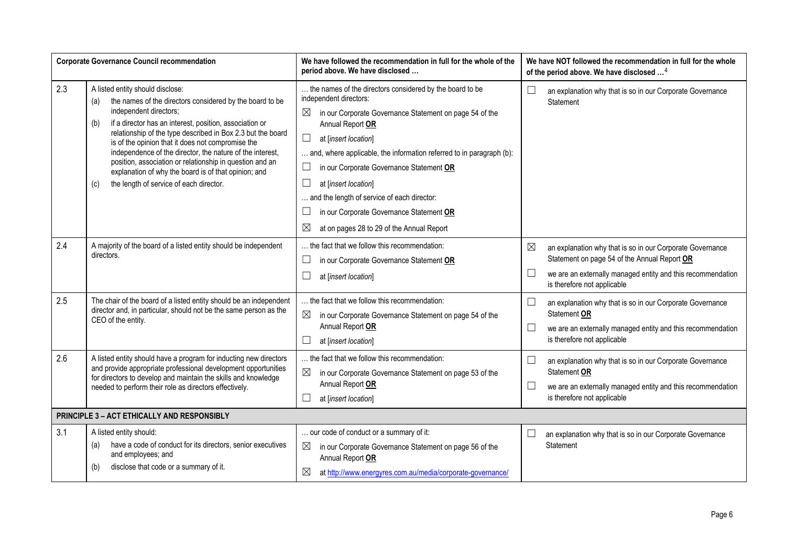| <b>Corporate Governance Council recommendation</b> |                                                                                                                                                                                                                                                                                                                                                                                                                                                                                                                                                        | We have followed the recommendation in full for the whole of the<br>period above. We have disclosed                                                                                                                                                                                                                                                                                                                                                                                                         | We have NOT followed the recommendation in full for the whole<br>of the period above. We have disclosed <sup>4</sup>                                                                                                   |
|----------------------------------------------------|--------------------------------------------------------------------------------------------------------------------------------------------------------------------------------------------------------------------------------------------------------------------------------------------------------------------------------------------------------------------------------------------------------------------------------------------------------------------------------------------------------------------------------------------------------|-------------------------------------------------------------------------------------------------------------------------------------------------------------------------------------------------------------------------------------------------------------------------------------------------------------------------------------------------------------------------------------------------------------------------------------------------------------------------------------------------------------|------------------------------------------------------------------------------------------------------------------------------------------------------------------------------------------------------------------------|
| 2.3                                                | A listed entity should disclose:<br>the names of the directors considered by the board to be<br>(a)<br>independent directors;<br>if a director has an interest, position, association or<br>(b)<br>relationship of the type described in Box 2.3 but the board<br>is of the opinion that it does not compromise the<br>independence of the director, the nature of the interest,<br>position, association or relationship in question and an<br>explanation of why the board is of that opinion; and<br>the length of service of each director.<br>(c) | the names of the directors considered by the board to be<br>independent directors:<br>$\boxtimes$<br>in our Corporate Governance Statement on page 54 of the<br>Annual Report OR<br>$\Box$<br>at [insert location]<br>and, where applicable, the information referred to in paragraph (b):<br>in our Corporate Governance Statement OR<br>at [insert location]<br>and the length of service of each director:<br>in our Corporate Governance Statement OR<br>⊠<br>at on pages 28 to 29 of the Annual Report | $\Box$<br>an explanation why that is so in our Corporate Governance<br>Statement                                                                                                                                       |
| 2.4                                                | A majority of the board of a listed entity should be independent<br>directors.                                                                                                                                                                                                                                                                                                                                                                                                                                                                         | the fact that we follow this recommendation:<br>in our Corporate Governance Statement OR<br>⊔<br>at [insert location]                                                                                                                                                                                                                                                                                                                                                                                       | ⊠<br>an explanation why that is so in our Corporate Governance<br>Statement on page 54 of the Annual Report OR<br>$\Box$<br>we are an externally managed entity and this recommendation<br>is therefore not applicable |
| 2.5                                                | The chair of the board of a listed entity should be an independent<br>director and, in particular, should not be the same person as the<br>CEO of the entity.                                                                                                                                                                                                                                                                                                                                                                                          | the fact that we follow this recommendation:<br>$\boxtimes$<br>in our Corporate Governance Statement on page 54 of the<br>Annual Report OR<br>at [insert location]                                                                                                                                                                                                                                                                                                                                          | an explanation why that is so in our Corporate Governance<br>L<br>Statement OR<br>we are an externally managed entity and this recommendation<br>⊔<br>is therefore not applicable                                      |
| 2.6                                                | A listed entity should have a program for inducting new directors<br>and provide appropriate professional development opportunities<br>for directors to develop and maintain the skills and knowledge<br>needed to perform their role as directors effectively.                                                                                                                                                                                                                                                                                        | the fact that we follow this recommendation:<br>$\boxtimes$<br>in our Corporate Governance Statement on page 53 of the<br>Annual Report OR<br>at [insert location]                                                                                                                                                                                                                                                                                                                                          | an explanation why that is so in our Corporate Governance<br>└<br>Statement OR<br>we are an externally managed entity and this recommendation<br>⊔<br>is therefore not applicable                                      |
| PRINCIPLE 3 - ACT ETHICALLY AND RESPONSIBLY        |                                                                                                                                                                                                                                                                                                                                                                                                                                                                                                                                                        |                                                                                                                                                                                                                                                                                                                                                                                                                                                                                                             |                                                                                                                                                                                                                        |
| 3.1                                                | A listed entity should:<br>have a code of conduct for its directors, senior executives<br>(a)<br>and employees; and<br>disclose that code or a summary of it.<br>(b)                                                                                                                                                                                                                                                                                                                                                                                   | our code of conduct or a summary of it:<br>in our Corporate Governance Statement on page 56 of the<br>$\boxtimes$<br>Annual Report OR<br>at http://www.energyres.com.au/media/corporate-governance/                                                                                                                                                                                                                                                                                                         | an explanation why that is so in our Corporate Governance<br>Statement                                                                                                                                                 |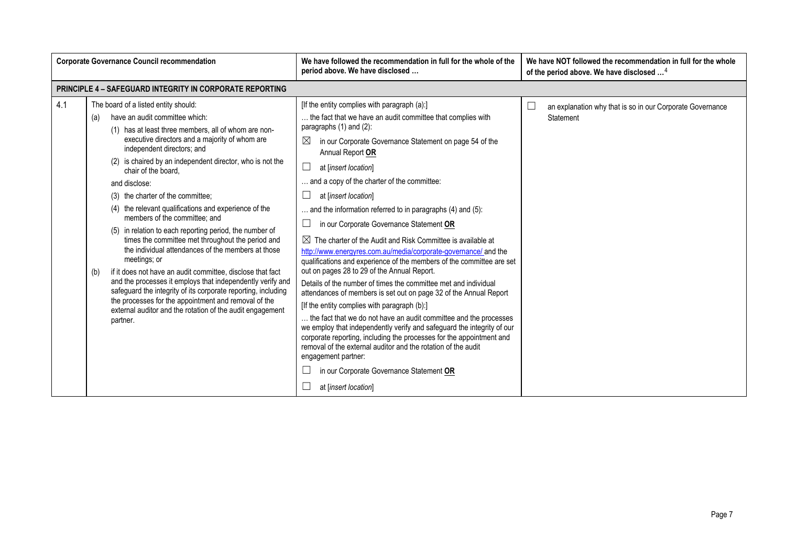| <b>Corporate Governance Council recommendation</b> |                                                                                                                                                                                                                                                                                                                                                                                                                                                                                                                                                                                                                                                                                                                                                                                                                                                                                                                                                                                      | We have followed the recommendation in full for the whole of the<br>period above. We have disclosed | We have NOT followed the recommendation in full for the whole<br>of the period above. We have disclosed <sup>4</sup>                                                                                                                                                                                                                                                                                                                                                                                                                                                                                                                                                                                                                                                                                                                                                                                                                                                                                                                                                                                                                                                                                                                                                                                |                                                                             |
|----------------------------------------------------|--------------------------------------------------------------------------------------------------------------------------------------------------------------------------------------------------------------------------------------------------------------------------------------------------------------------------------------------------------------------------------------------------------------------------------------------------------------------------------------------------------------------------------------------------------------------------------------------------------------------------------------------------------------------------------------------------------------------------------------------------------------------------------------------------------------------------------------------------------------------------------------------------------------------------------------------------------------------------------------|-----------------------------------------------------------------------------------------------------|-----------------------------------------------------------------------------------------------------------------------------------------------------------------------------------------------------------------------------------------------------------------------------------------------------------------------------------------------------------------------------------------------------------------------------------------------------------------------------------------------------------------------------------------------------------------------------------------------------------------------------------------------------------------------------------------------------------------------------------------------------------------------------------------------------------------------------------------------------------------------------------------------------------------------------------------------------------------------------------------------------------------------------------------------------------------------------------------------------------------------------------------------------------------------------------------------------------------------------------------------------------------------------------------------------|-----------------------------------------------------------------------------|
|                                                    | <b>PRINCIPLE 4 - SAFEGUARD INTEGRITY IN CORPORATE REPORTING</b>                                                                                                                                                                                                                                                                                                                                                                                                                                                                                                                                                                                                                                                                                                                                                                                                                                                                                                                      |                                                                                                     |                                                                                                                                                                                                                                                                                                                                                                                                                                                                                                                                                                                                                                                                                                                                                                                                                                                                                                                                                                                                                                                                                                                                                                                                                                                                                                     |                                                                             |
| 4.1                                                | The board of a listed entity should:<br>have an audit committee which:<br>(a)<br>(1) has at least three members, all of whom are non-<br>executive directors and a majority of whom are<br>independent directors; and<br>(2) is chaired by an independent director, who is not the<br>chair of the board.<br>and disclose:<br>(3) the charter of the committee:<br>(4) the relevant qualifications and experience of the<br>members of the committee: and<br>(5) in relation to each reporting period, the number of<br>times the committee met throughout the period and<br>the individual attendances of the members at those<br>meetings; or<br>if it does not have an audit committee, disclose that fact<br>(b)<br>and the processes it employs that independently verify and<br>safeguard the integrity of its corporate reporting, including<br>the processes for the appointment and removal of the<br>external auditor and the rotation of the audit engagement<br>partner. |                                                                                                     | [If the entity complies with paragraph (a):]<br>the fact that we have an audit committee that complies with<br>paragraphs $(1)$ and $(2)$ :<br>in our Corporate Governance Statement on page 54 of the<br>$\boxtimes$<br>Annual Report OR<br>at linsert location]<br>and a copy of the charter of the committee:<br>at [insert location]<br>and the information referred to in paragraphs (4) and (5):<br>in our Corporate Governance Statement OR<br>$\boxtimes$ The charter of the Audit and Risk Committee is available at<br>http://www.energyres.com.au/media/corporate-governance/ and the<br>qualifications and experience of the members of the committee are set<br>out on pages 28 to 29 of the Annual Report.<br>Details of the number of times the committee met and individual<br>attendances of members is set out on page 32 of the Annual Report<br>[If the entity complies with paragraph (b):]<br>the fact that we do not have an audit committee and the processes<br>we employ that independently verify and safeguard the integrity of our<br>corporate reporting, including the processes for the appointment and<br>removal of the external auditor and the rotation of the audit<br>engagement partner:<br>in our Corporate Governance Statement OR<br>at [insert location] | an explanation why that is so in our Corporate Governance<br>∟<br>Statement |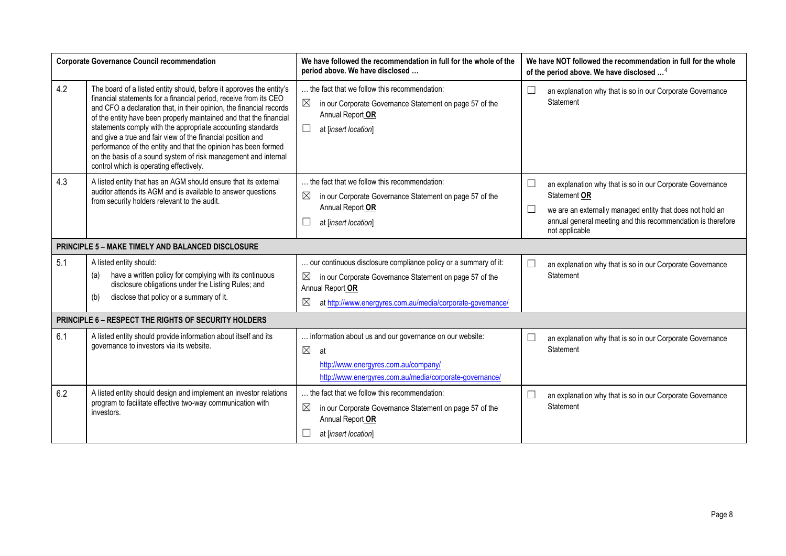| <b>Corporate Governance Council recommendation</b> |                                                                                                                                                                                                                                                                                                                                                                                                                                                                                                                                                                                                     | We have followed the recommendation in full for the whole of the<br>period above. We have disclosed                                                                                                                    | We have NOT followed the recommendation in full for the whole<br>of the period above. We have disclosed <sup>4</sup>                                                                                                              |
|----------------------------------------------------|-----------------------------------------------------------------------------------------------------------------------------------------------------------------------------------------------------------------------------------------------------------------------------------------------------------------------------------------------------------------------------------------------------------------------------------------------------------------------------------------------------------------------------------------------------------------------------------------------------|------------------------------------------------------------------------------------------------------------------------------------------------------------------------------------------------------------------------|-----------------------------------------------------------------------------------------------------------------------------------------------------------------------------------------------------------------------------------|
| 4.2                                                | The board of a listed entity should, before it approves the entity's<br>financial statements for a financial period, receive from its CEO<br>and CFO a declaration that, in their opinion, the financial records<br>of the entity have been properly maintained and that the financial<br>statements comply with the appropriate accounting standards<br>and give a true and fair view of the financial position and<br>performance of the entity and that the opinion has been formed<br>on the basis of a sound system of risk management and internal<br>control which is operating effectively. | the fact that we follow this recommendation:<br>⊠<br>in our Corporate Governance Statement on page 57 of the<br>Annual Report OR<br>at [insert location]                                                               | П<br>an explanation why that is so in our Corporate Governance<br>Statement                                                                                                                                                       |
| 4.3                                                | A listed entity that has an AGM should ensure that its external<br>auditor attends its AGM and is available to answer questions<br>from security holders relevant to the audit.                                                                                                                                                                                                                                                                                                                                                                                                                     | the fact that we follow this recommendation:<br>⊠<br>in our Corporate Governance Statement on page 57 of the<br>Annual Report OR<br>at [insert location]                                                               | an explanation why that is so in our Corporate Governance<br>Statement OR<br>$\Box$<br>we are an externally managed entity that does not hold an<br>annual general meeting and this recommendation is therefore<br>not applicable |
|                                                    | <b>PRINCIPLE 5 - MAKE TIMELY AND BALANCED DISCLOSURE</b>                                                                                                                                                                                                                                                                                                                                                                                                                                                                                                                                            |                                                                                                                                                                                                                        |                                                                                                                                                                                                                                   |
| 5.1                                                | A listed entity should:<br>have a written policy for complying with its continuous<br>(a)<br>disclosure obligations under the Listing Rules; and<br>disclose that policy or a summary of it.<br>(b)                                                                                                                                                                                                                                                                                                                                                                                                 | our continuous disclosure compliance policy or a summary of it:<br>⊠<br>in our Corporate Governance Statement on page 57 of the<br>Annual Report OR<br>⊠<br>at http://www.energyres.com.au/media/corporate-governance/ | an explanation why that is so in our Corporate Governance<br><b>Statement</b>                                                                                                                                                     |
|                                                    | PRINCIPLE 6 - RESPECT THE RIGHTS OF SECURITY HOLDERS                                                                                                                                                                                                                                                                                                                                                                                                                                                                                                                                                |                                                                                                                                                                                                                        |                                                                                                                                                                                                                                   |
| 6.1                                                | A listed entity should provide information about itself and its<br>governance to investors via its website.                                                                                                                                                                                                                                                                                                                                                                                                                                                                                         | information about us and our governance on our website:<br>$\boxtimes$<br>at<br>http://www.energyres.com.au/company/<br>http://www.energyres.com.au/media/corporate-governance/                                        | an explanation why that is so in our Corporate Governance<br>Statement                                                                                                                                                            |
| 6.2                                                | A listed entity should design and implement an investor relations<br>program to facilitate effective two-way communication with<br>investors.                                                                                                                                                                                                                                                                                                                                                                                                                                                       | the fact that we follow this recommendation:<br>⊠<br>in our Corporate Governance Statement on page 57 of the<br>Annual Report OR<br>at [insert location]                                                               | $\Box$<br>an explanation why that is so in our Corporate Governance<br>Statement                                                                                                                                                  |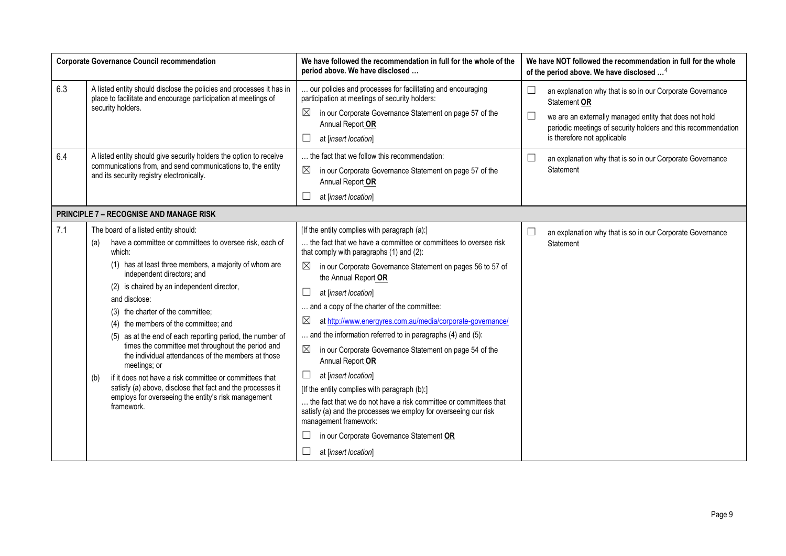| <b>Corporate Governance Council recommendation</b> |                                                                                                                                                                                                                                                                                                                                                                                                                                                                                                                                                                                                                                                                                                                                                    | We have followed the recommendation in full for the whole of the<br>period above. We have disclosed                                                                                                                                                                                                                                                                                                                                                                                                                                                                                                                                                                                                                                                                                                                                                                              | We have NOT followed the recommendation in full for the whole<br>of the period above. We have disclosed <sup>4</sup>                                                                                                                          |
|----------------------------------------------------|----------------------------------------------------------------------------------------------------------------------------------------------------------------------------------------------------------------------------------------------------------------------------------------------------------------------------------------------------------------------------------------------------------------------------------------------------------------------------------------------------------------------------------------------------------------------------------------------------------------------------------------------------------------------------------------------------------------------------------------------------|----------------------------------------------------------------------------------------------------------------------------------------------------------------------------------------------------------------------------------------------------------------------------------------------------------------------------------------------------------------------------------------------------------------------------------------------------------------------------------------------------------------------------------------------------------------------------------------------------------------------------------------------------------------------------------------------------------------------------------------------------------------------------------------------------------------------------------------------------------------------------------|-----------------------------------------------------------------------------------------------------------------------------------------------------------------------------------------------------------------------------------------------|
| 6.3                                                | A listed entity should disclose the policies and processes it has in<br>place to facilitate and encourage participation at meetings of<br>security holders.                                                                                                                                                                                                                                                                                                                                                                                                                                                                                                                                                                                        | our policies and processes for facilitating and encouraging<br>participation at meetings of security holders:<br>$\boxtimes$<br>in our Corporate Governance Statement on page 57 of the<br>Annual Report OR<br>at [insert location]                                                                                                                                                                                                                                                                                                                                                                                                                                                                                                                                                                                                                                              | $\Box$<br>an explanation why that is so in our Corporate Governance<br>Statement OR<br>we are an externally managed entity that does not hold<br>periodic meetings of security holders and this recommendation<br>is therefore not applicable |
| 6.4                                                | A listed entity should give security holders the option to receive<br>communications from, and send communications to, the entity<br>and its security registry electronically.                                                                                                                                                                                                                                                                                                                                                                                                                                                                                                                                                                     | the fact that we follow this recommendation:<br>⊠<br>in our Corporate Governance Statement on page 57 of the<br>Annual Report OR<br>at [insert location]                                                                                                                                                                                                                                                                                                                                                                                                                                                                                                                                                                                                                                                                                                                         | an explanation why that is so in our Corporate Governance<br>Statement                                                                                                                                                                        |
|                                                    | <b>PRINCIPLE 7 - RECOGNISE AND MANAGE RISK</b>                                                                                                                                                                                                                                                                                                                                                                                                                                                                                                                                                                                                                                                                                                     |                                                                                                                                                                                                                                                                                                                                                                                                                                                                                                                                                                                                                                                                                                                                                                                                                                                                                  |                                                                                                                                                                                                                                               |
| 7.1                                                | The board of a listed entity should:<br>have a committee or committees to oversee risk, each of<br>(a)<br>which:<br>(1) has at least three members, a majority of whom are<br>independent directors; and<br>(2) is chaired by an independent director,<br>and disclose:<br>(3) the charter of the committee;<br>(4) the members of the committee; and<br>(5) as at the end of each reporting period, the number of<br>times the committee met throughout the period and<br>the individual attendances of the members at those<br>meetings; or<br>if it does not have a risk committee or committees that<br>(b)<br>satisfy (a) above, disclose that fact and the processes it<br>employs for overseeing the entity's risk management<br>framework. | [If the entity complies with paragraph (a):]<br>the fact that we have a committee or committees to oversee risk<br>that comply with paragraphs (1) and (2):<br>$\bowtie$<br>in our Corporate Governance Statement on pages 56 to 57 of<br>the Annual Report OR<br>at [insert location]<br>and a copy of the charter of the committee:<br>⊠<br>at http://www.energyres.com.au/media/corporate-governance/<br>and the information referred to in paragraphs (4) and (5):<br>$\boxtimes$<br>in our Corporate Governance Statement on page 54 of the<br>Annual Report OR<br>at [insert location]<br>[If the entity complies with paragraph (b):]<br>the fact that we do not have a risk committee or committees that<br>satisfy (a) and the processes we employ for overseeing our risk<br>management framework:<br>in our Corporate Governance Statement OR<br>at [insert location] | an explanation why that is so in our Corporate Governance<br>Statement                                                                                                                                                                        |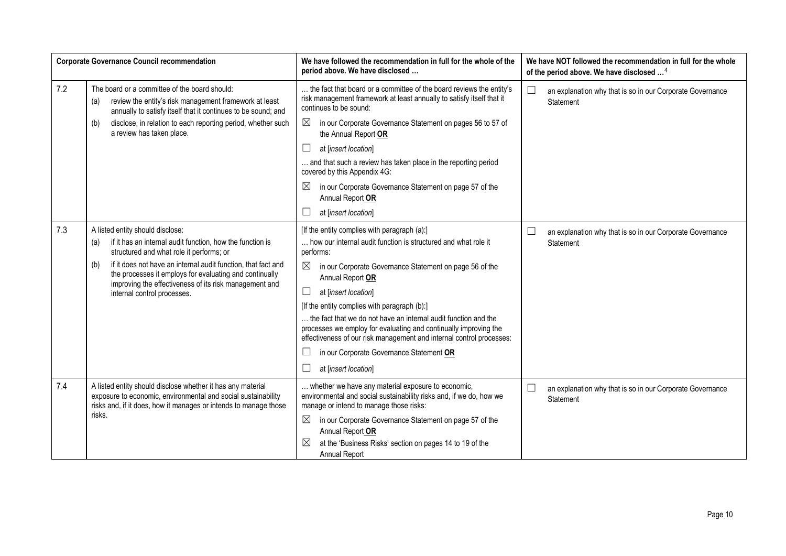|     | <b>Corporate Governance Council recommendation</b>                                                                                                                                                                                                                                                                                                                           | We have followed the recommendation in full for the whole of the<br>period above. We have disclosed                                                                                                                                                                                                                                                                                                                                                                                                                                                                                                                | We have NOT followed the recommendation in full for the whole<br>of the period above. We have disclosed <sup>4</sup> |
|-----|------------------------------------------------------------------------------------------------------------------------------------------------------------------------------------------------------------------------------------------------------------------------------------------------------------------------------------------------------------------------------|--------------------------------------------------------------------------------------------------------------------------------------------------------------------------------------------------------------------------------------------------------------------------------------------------------------------------------------------------------------------------------------------------------------------------------------------------------------------------------------------------------------------------------------------------------------------------------------------------------------------|----------------------------------------------------------------------------------------------------------------------|
| 7.2 | The board or a committee of the board should:<br>review the entity's risk management framework at least<br>(a)<br>annually to satisfy itself that it continues to be sound; and                                                                                                                                                                                              | the fact that board or a committee of the board reviews the entity's<br>risk management framework at least annually to satisfy itself that it<br>continues to be sound:                                                                                                                                                                                                                                                                                                                                                                                                                                            | $\Box$<br>an explanation why that is so in our Corporate Governance<br>Statement                                     |
|     | disclose, in relation to each reporting period, whether such<br>(b)<br>a review has taken place.                                                                                                                                                                                                                                                                             | $\boxtimes$<br>in our Corporate Governance Statement on pages 56 to 57 of<br>the Annual Report OR                                                                                                                                                                                                                                                                                                                                                                                                                                                                                                                  |                                                                                                                      |
|     |                                                                                                                                                                                                                                                                                                                                                                              | $\Box$<br>at [insert location]                                                                                                                                                                                                                                                                                                                                                                                                                                                                                                                                                                                     |                                                                                                                      |
|     |                                                                                                                                                                                                                                                                                                                                                                              | and that such a review has taken place in the reporting period<br>covered by this Appendix 4G:                                                                                                                                                                                                                                                                                                                                                                                                                                                                                                                     |                                                                                                                      |
|     |                                                                                                                                                                                                                                                                                                                                                                              | $\boxtimes$<br>in our Corporate Governance Statement on page 57 of the<br>Annual Report OR                                                                                                                                                                                                                                                                                                                                                                                                                                                                                                                         |                                                                                                                      |
|     |                                                                                                                                                                                                                                                                                                                                                                              | at [insert location]                                                                                                                                                                                                                                                                                                                                                                                                                                                                                                                                                                                               |                                                                                                                      |
| 7.3 | A listed entity should disclose:<br>if it has an internal audit function, how the function is<br>(a)<br>structured and what role it performs; or<br>if it does not have an internal audit function, that fact and<br>(b)<br>the processes it employs for evaluating and continually<br>improving the effectiveness of its risk management and<br>internal control processes. | [If the entity complies with paragraph (a):]<br>how our internal audit function is structured and what role it<br>performs:<br>$\boxtimes$<br>in our Corporate Governance Statement on page 56 of the<br>Annual Report OR<br>$\Box$<br>at [insert location]<br>[If the entity complies with paragraph (b):]<br>the fact that we do not have an internal audit function and the<br>processes we employ for evaluating and continually improving the<br>effectiveness of our risk management and internal control processes:<br>$\Box$<br>in our Corporate Governance Statement OR<br>$\Box$<br>at [insert location] | $\Box$<br>an explanation why that is so in our Corporate Governance<br>Statement                                     |
| 7.4 | A listed entity should disclose whether it has any material<br>exposure to economic, environmental and social sustainability<br>risks and, if it does, how it manages or intends to manage those<br>risks.                                                                                                                                                                   | whether we have any material exposure to economic,<br>environmental and social sustainability risks and, if we do, how we<br>manage or intend to manage those risks:<br>$\boxtimes$<br>in our Corporate Governance Statement on page 57 of the<br>Annual Report OR<br>at the 'Business Risks' section on pages 14 to 19 of the<br>Annual Report                                                                                                                                                                                                                                                                    | $\Box$<br>an explanation why that is so in our Corporate Governance<br>Statement                                     |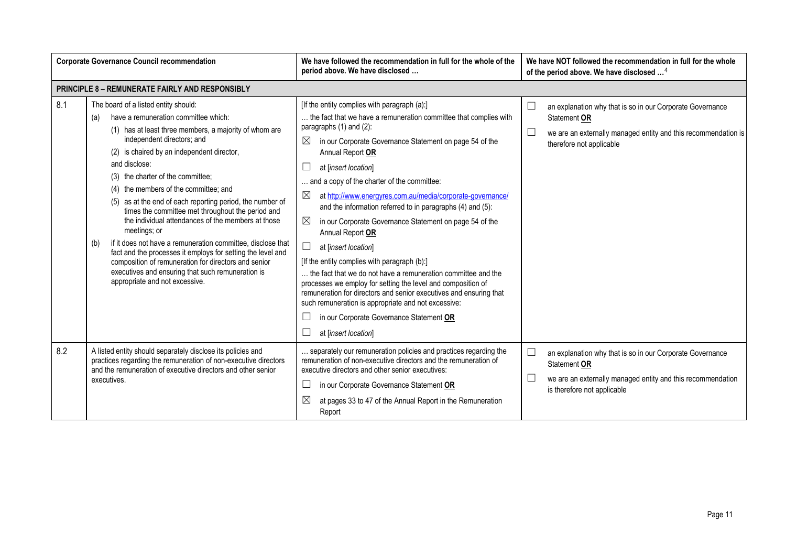| <b>Corporate Governance Council recommendation</b> |                                                                                                                                                                                                                                                                                                                                                                                                                                                                                                                                                                                                                                                                                                                                                                                                      | We have followed the recommendation in full for the whole of the<br>period above. We have disclosed                                                                                                                                                                                                                                                                                                                                                                                                                                                                                                                                                                                                                                                                                                                                                                                                                                                                            | We have NOT followed the recommendation in full for the whole<br>of the period above. We have disclosed <sup>4</sup>                                                                        |
|----------------------------------------------------|------------------------------------------------------------------------------------------------------------------------------------------------------------------------------------------------------------------------------------------------------------------------------------------------------------------------------------------------------------------------------------------------------------------------------------------------------------------------------------------------------------------------------------------------------------------------------------------------------------------------------------------------------------------------------------------------------------------------------------------------------------------------------------------------------|--------------------------------------------------------------------------------------------------------------------------------------------------------------------------------------------------------------------------------------------------------------------------------------------------------------------------------------------------------------------------------------------------------------------------------------------------------------------------------------------------------------------------------------------------------------------------------------------------------------------------------------------------------------------------------------------------------------------------------------------------------------------------------------------------------------------------------------------------------------------------------------------------------------------------------------------------------------------------------|---------------------------------------------------------------------------------------------------------------------------------------------------------------------------------------------|
|                                                    | <b>PRINCIPLE 8 - REMUNERATE FAIRLY AND RESPONSIBLY</b>                                                                                                                                                                                                                                                                                                                                                                                                                                                                                                                                                                                                                                                                                                                                               |                                                                                                                                                                                                                                                                                                                                                                                                                                                                                                                                                                                                                                                                                                                                                                                                                                                                                                                                                                                |                                                                                                                                                                                             |
| 8.1                                                | The board of a listed entity should:<br>have a remuneration committee which:<br>(a)<br>(1) has at least three members, a majority of whom are<br>independent directors; and<br>(2) is chaired by an independent director,<br>and disclose:<br>(3) the charter of the committee;<br>(4) the members of the committee; and<br>(5) as at the end of each reporting period, the number of<br>times the committee met throughout the period and<br>the individual attendances of the members at those<br>meetings; or<br>if it does not have a remuneration committee, disclose that<br>(b)<br>fact and the processes it employs for setting the level and<br>composition of remuneration for directors and senior<br>executives and ensuring that such remuneration is<br>appropriate and not excessive. | [If the entity complies with paragraph (a):]<br>the fact that we have a remuneration committee that complies with<br>paragraphs (1) and (2):<br>$\boxtimes$<br>in our Corporate Governance Statement on page 54 of the<br>Annual Report OR<br>at [insert location]<br>and a copy of the charter of the committee:<br>$\boxtimes$<br>at http://www.energyres.com.au/media/corporate-governance/<br>and the information referred to in paragraphs (4) and (5):<br>⊠<br>in our Corporate Governance Statement on page 54 of the<br>Annual Report OR<br>$\Box$<br>at [insert location]<br>[If the entity complies with paragraph (b):]<br>the fact that we do not have a remuneration committee and the<br>processes we employ for setting the level and composition of<br>remuneration for directors and senior executives and ensuring that<br>such remuneration is appropriate and not excessive:<br>in our Corporate Governance Statement OR<br>ш<br>ш<br>at [insert location] | $\Box$<br>an explanation why that is so in our Corporate Governance<br>Statement OR<br>$\Box$<br>we are an externally managed entity and this recommendation is<br>therefore not applicable |
| 8.2                                                | A listed entity should separately disclose its policies and<br>practices regarding the remuneration of non-executive directors<br>and the remuneration of executive directors and other senior<br>executives.                                                                                                                                                                                                                                                                                                                                                                                                                                                                                                                                                                                        | separately our remuneration policies and practices regarding the<br>remuneration of non-executive directors and the remuneration of<br>executive directors and other senior executives:<br>Ш<br>in our Corporate Governance Statement OR<br>$\boxtimes$<br>at pages 33 to 47 of the Annual Report in the Remuneration<br>Report                                                                                                                                                                                                                                                                                                                                                                                                                                                                                                                                                                                                                                                | $\Box$<br>an explanation why that is so in our Corporate Governance<br>Statement OR<br>$\Box$<br>we are an externally managed entity and this recommendation<br>is therefore not applicable |